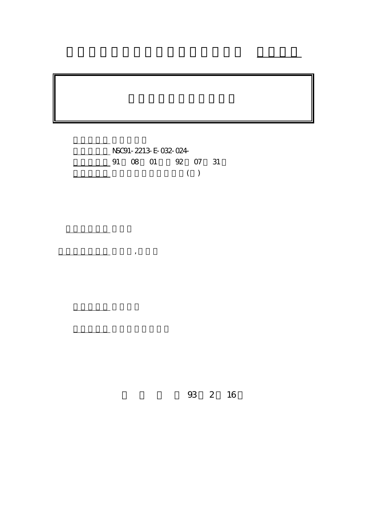

計畫主持人: 張文清

計畫參與人員: 何童祺,魏郁忠

。<br>在前書 : 本計畫可公開查

行政院國家科學委員會專題研究計畫 成果報告

93 2 16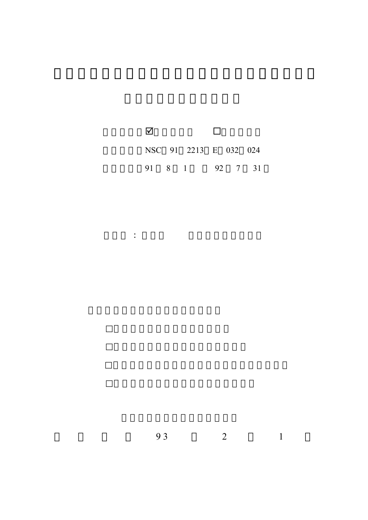| M |                       | $\Box$ |         |  |
|---|-----------------------|--------|---------|--|
|   | NSC 91 2213 E 032 024 |        |         |  |
|   | 91 8 1                |        | 92 7 31 |  |

1 93 2 1

主持人 : 張文清 私立淡江大學電機所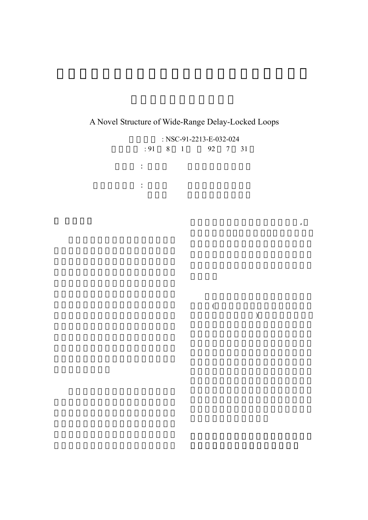# A Novel Structure of Wide-Range Delay-Locked Loops

| : NSC-91-2213-E-032-024 |  |             |  |  |
|-------------------------|--|-------------|--|--|
| : 91                    |  | 8 1 92 7 31 |  |  |
|                         |  |             |  |  |
|                         |  |             |  |  |
| ٠                       |  |             |  |  |

 $\left(\begin{array}{c}\n\end{array}\right)$  $\sum_{i=1}^{n} x_i$ 

 $\overline{a}$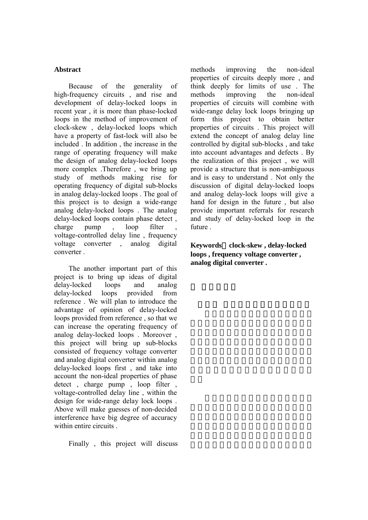#### **Abstract**

 Because of the generality of high-frequency circuits , and rise and development of delay-locked loops in recent year , it is more than phase-locked loops in the method of improvement of clock-skew , delay-locked loops which have a property of fast-lock will also be included . In addition , the increase in the range of operating frequency will make the design of analog delay-locked loops more complex .Therefore , we bring up study of methods making rise for operating frequency of digital sub-blocks in analog delay-locked loops . The goal of this project is to design a wide-range analog delay-locked loops . The analog delay-locked loops contain phase detect , charge pump , loop filter voltage-controlled delay line , frequency voltage converter , analog digital converter .

 The another important part of this project is to bring up ideas of digital delay-locked loops and analog delay-locked loops provided from reference . We will plan to introduce the advantage of opinion of delay-locked loops provided from reference , so that we can increase the operating frequency of analog delay-locked loops . Moreover , this project will bring up sub-blocks consisted of frequency voltage converter and analog digital converter within analog delay-locked loops first , and take into account the non-ideal properties of phase detect , charge pump , loop filter , voltage-controlled delay line , within the design for wide-range delay lock loops . Above will make guesses of non-decided interference have big degree of accuracy within entire circuits .

Finally , this project will discuss

methods improving the non-ideal properties of circuits deeply more , and think deeply for limits of use . The methods improving the non-ideal properties of circuits will combine with wide-range delay lock loops bringing up form this project to obtain better properties of circuits . This project will extend the concept of analog delay line controlled by digital sub-blocks , and take into account advantages and defects . By the realization of this project , we will provide a structure that is non-ambiguous and is easy to understand . Not only the discussion of digital delay-locked loops and analog delay-lock loops will give a hand for design in the future , but also provide important referrals for research and study of delay-locked loop in the future .

### **Keywords**:**clock-skew , delay-locked loops , frequency voltage converter , analog digital converter .**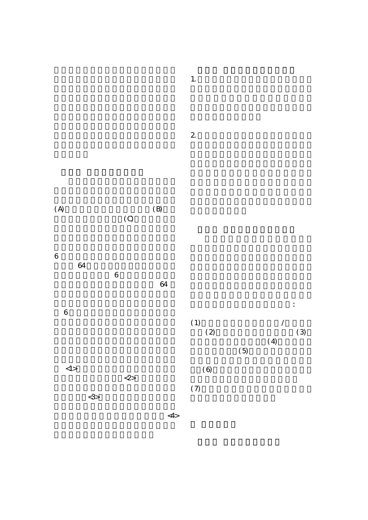

1.  $\blacksquare$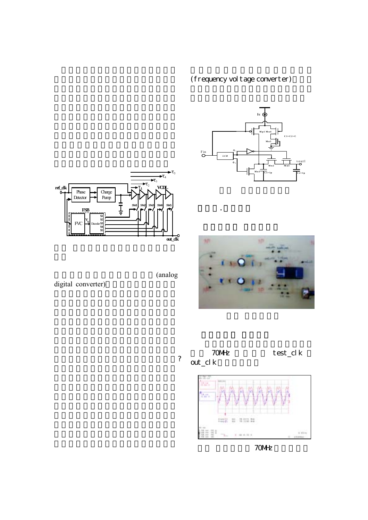#### (frequency voltage converter)



三之二.測試結果



 $\alpha$ 



digital converter)





70MHz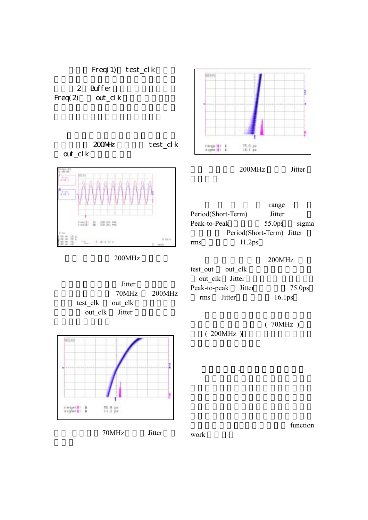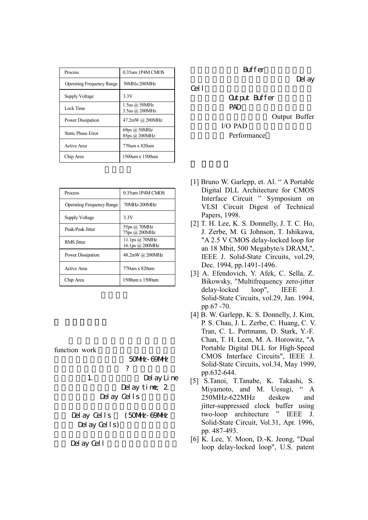| Process                          | 0.35um 1P4M CMOS                      |  |  |
|----------------------------------|---------------------------------------|--|--|
| <b>Operating Frequency Range</b> | 50MHz-200MHz                          |  |  |
| Supply Voltage                   | 3.3V                                  |  |  |
| Lock Time                        | $1.5$ us @ $50$ MHz<br>3.5us @ 200MHz |  |  |
| <b>Power Dissipation</b>         | 47.2mW @ 200MHz                       |  |  |
| <b>Static Phase Error</b>        | 69ps @ 50MHz<br>85ps @ 200MHz         |  |  |
| Active Area                      | 770um x 820um                         |  |  |
| Chip Area                        | 1500um x 1500um                       |  |  |

| Process                          | 0.35um 1P4M CMOS                               |  |  |
|----------------------------------|------------------------------------------------|--|--|
| <b>Operating Frequency Range</b> | 70MHz-200MHz                                   |  |  |
| Supply Voltage                   | 3.3V                                           |  |  |
| Peak-Peak Jitter                 | 55ps @ 70MHz<br>75ps @ 200MHz                  |  |  |
| <b>RMS</b> Jitter                | $11.1$ ps @ 70MHz<br>$16.1$ ps $\omega$ 200MHz |  |  |
| Power Dissipation                | 48.2mW @ 200MHz                                |  |  |
| Active Area                      | 770um x 820um                                  |  |  |
| Chip Area                        | 1500um x 1500um                                |  |  |

function work

## 50MHz-69MHz

- 法做一個很好的鎖定 ? 推測其原因主
	- 1. Del ay Line Delay time;  $2$ Del ay Cells
		-
	- Delay Cells (50MHz-69MHz Del ay Cells)

Del ay Cell

Buffer

Cell and the contract of the contract of the contract of the contract of the contract of the contract of the contract of the contract of the contract of the contract of the contract of the contract of the contract of the c

Qutput Buffer 好以及對於 PAD 效應的考慮不夠周詳所

Output Buffer

#### $I/O$  PAD Performance

- [1] Bruno W. Garlepp, et. Al. " A Portable Digital DLL Architecture for CMOS Interface Circuit " Symposium on VLSI Circuit Digest of Technical
- Papers, 1998.  $[2]$  T. H. Lee, K. S. Donnelly, J. T. C. Ho, J. Zerbe, M. G. Johnson, T. Ishikawa, "A 2.5 V CMOS delay-locked loop for an 18 Mbit, 500 Megabyte/s DRAM,", IEEE J. Solid-State Circuits, vol.29, Dec. 1994, pp.1491-1496.
- [3] A. Efendovich, Y. Afek, C. Sella, Z. Bikowsky, "Multifrequency zero-jitter delay-locked loop", IEEE J. Solid-State Circuits, vol.29, Jan. 1994, pp.67 -70.
- [4] B. W. Garlepp, K. S. Donnelly, J. Kim, P. S. Chau, J. L. Zerbe, C. Huang, C. V. Tran, C. L. Portmann, D. Stark, Y.-F. Chan, T. H. Leen, M. A. Horowitz, "A Portable Digital DLL for High-Speed CMOS Interface Circuits", IEEE J. Solid-State Circuits, vol.34, May 1999, pp.632-644.
- [5] S.Tanoi, T.Tanabe, K. Takashi, S. Miyamoto, and M. Uesugi, " A 250MHz-622MHz deskew and jitter-suppressed clock buffer using two-loop architecture " IEEE J. Solid-State Circuit, Vol.31, Apr. 1996, pp. 487-493.
- [6] K. Lee, Y. Moon, D.-K. Jeong, "Dual loop delay-locked loop", U.S. patent

Del av